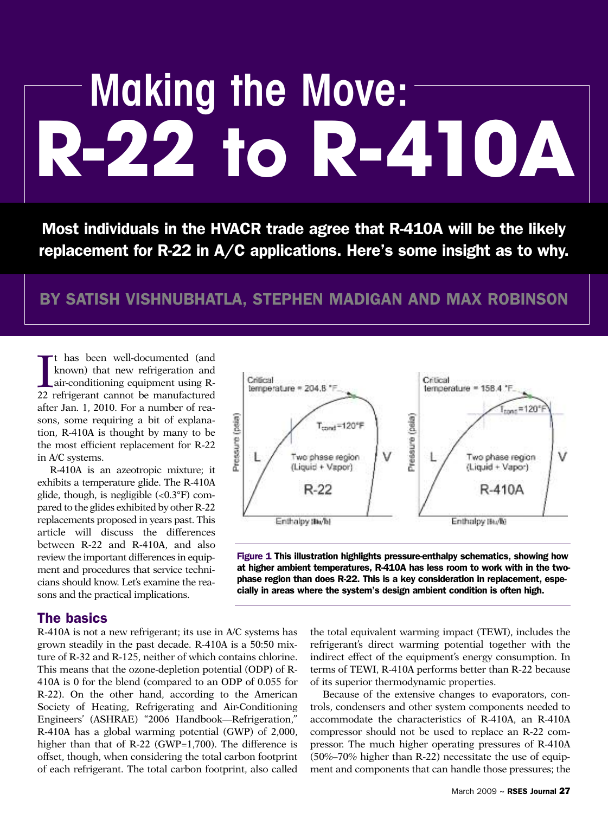# **R-22 to R-410A Making the Move:**

**Most individuals in the HVACR trade agree that R-410A will be the likely replacement for R-22 in A/C applications. Here's some insight as to why.**

## **BY SATISH VISHNUBHATLA, STEPHEN MADIGAN AND MAX ROBINSON**

It has been well-documented (and known) that new refrigeration and air-conditioning equipment using R-22 refrigerant cannot be manufactured t has been well-documented (and known) that new refrigeration and air-conditioning equipment using Rafter Jan. 1, 2010. For a number of reasons, some requiring a bit of explanation, R-410A is thought by many to be the most efficient replacement for R-22 in A/C systems.

R-410A is an azeotropic mixture; it exhibits a temperature glide. The R-410A glide, though, is negligible (<0.3°F) compared to the glides exhibited by other R-22 replacements proposed in years past. This article will discuss the differences between R-22 and R-410A, and also review the important differences in equipment and procedures that service technicians should know. Let's examine the reasons and the practical implications.



**Figure 1 This illustration highlights pressure-enthalpy schematics, showing how at higher ambient temperatures, R-410A has less room to work with in the twophase region than does R-22. This is a key consideration in replacement, especially in areas where the system's design ambient condition is often high.**

#### **The basics**

R-410A is not a new refrigerant; its use in A/C systems has grown steadily in the past decade. R-410A is a 50:50 mixture of R-32 and R-125, neither of which contains chlorine. This means that the ozone-depletion potential (ODP) of R-410A is 0 for the blend (compared to an ODP of 0.055 for R-22). On the other hand, according to the American Society of Heating, Refrigerating and Air-Conditioning Engineers' (ASHRAE) "2006 Handbook—Refrigeration," R-410A has a global warming potential (GWP) of 2,000, higher than that of R-22 (GWP=1,700). The difference is offset, though, when considering the total carbon footprint of each refrigerant. The total carbon footprint, also called the total equivalent warming impact (TEWI), includes the refrigerant's direct warming potential together with the indirect effect of the equipment's energy consumption. In terms of TEWI, R-410A performs better than R-22 because of its superior thermodynamic properties.

Because of the extensive changes to evaporators, controls, condensers and other system components needed to accommodate the characteristics of R-410A, an R-410A compressor should not be used to replace an R-22 compressor. The much higher operating pressures of R-410A (50%–70% higher than R-22) necessitate the use of equipment and components that can handle those pressures; the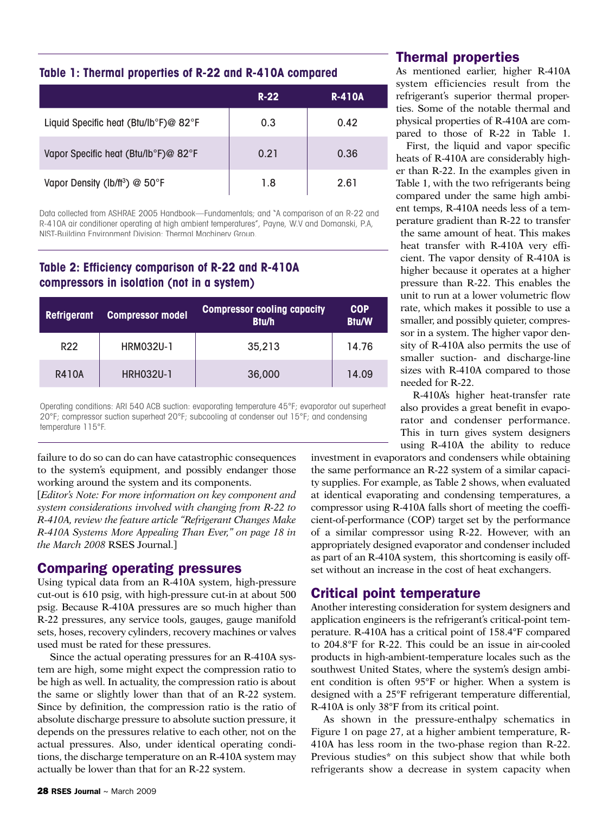#### **Table 1: Thermal properties of R-22 and R-410A compared**

|                                            | $R-22$ | <b>R-410A</b> |
|--------------------------------------------|--------|---------------|
| Liquid Specific heat (Btu/lb°F)@ 82°F      | 0.3    | 0.42          |
| Vapor Specific heat (Btu/lb°F)@ 82°F       | 0.21   | 0.36          |
| Vapor Density (lb/ft <sup>3</sup> ) @ 50°F | 1.8    | 2.61          |

Data collected from ASHRAE 2005 Handbook—Fundamentals; and "A comparison of an R-22 and R-410A air conditioner operating at high ambient temperatures", Payne, W.V and Domanski, P.A, NIST-Building Environment Division: Thermal Machinery Group.

#### **Table 2: Efficiency comparison of R-22 and R-410A compressors in isolation (not in a system)**

| <b>Refrigerant</b> | <b>Compressor model</b> | <b>Compressor cooling capacity</b><br><b>Btu/h</b> | <b>COP</b><br><b>Btu/W</b> |
|--------------------|-------------------------|----------------------------------------------------|----------------------------|
| <b>R22</b>         | HRM032U-1               | 35,213                                             | 14.76                      |
| <b>R410A</b>       | <b>HRH032U-1</b>        | 36,000                                             | 14.09                      |

Operating conditions: ARI 540 ACB suction: evaporating temperature 45°F; evaporator out superheat 20°F; compressor suction superheat 20°F; subcooling at condenser out 15°F; and condensing temperature 115°F.

failure to do so can do can have catastrophic consequences to the system's equipment, and possibly endanger those working around the system and its components.

[*Editor's Note: For more information on key component and system considerations involved with changing from R-22 to R-410A, review the feature article "Refrigerant Changes Make R-410A Systems More Appealing Than Ever," on page 18 in the March 2008* RSES Journal.]

#### **Comparing operating pressures**

Using typical data from an R-410A system, high-pressure cut-out is 610 psig, with high-pressure cut-in at about 500 psig. Because R-410A pressures are so much higher than R-22 pressures, any service tools, gauges, gauge manifold sets, hoses, recovery cylinders, recovery machines or valves used must be rated for these pressures.

Since the actual operating pressures for an R-410A system are high, some might expect the compression ratio to be high as well. In actuality, the compression ratio is about the same or slightly lower than that of an R-22 system. Since by definition, the compression ratio is the ratio of absolute discharge pressure to absolute suction pressure, it depends on the pressures relative to each other, not on the actual pressures. Also, under identical operating conditions, the discharge temperature on an R-410A system may actually be lower than that for an R-22 system.

#### **Thermal properties**

As mentioned earlier, higher R-410A system efficiencies result from the refrigerant's superior thermal properties. Some of the notable thermal and physical properties of R-410A are compared to those of R-22 in Table 1.

First, the liquid and vapor specific heats of R-410A are considerably higher than R-22. In the examples given in Table 1, with the two refrigerants being compared under the same high ambient temps, R-410A needs less of a temperature gradient than R-22 to transfer

the same amount of heat. This makes heat transfer with R-410A very efficient. The vapor density of R-410A is higher because it operates at a higher pressure than R-22. This enables the unit to run at a lower volumetric flow rate, which makes it possible to use a smaller, and possibly quieter, compressor in a system. The higher vapor density of R-410A also permits the use of smaller suction- and discharge-line sizes with R-410A compared to those needed for R-22.

R-410A's higher heat-transfer rate also provides a great benefit in evaporator and condenser performance. This in turn gives system designers using R-410A the ability to reduce

investment in evaporators and condensers while obtaining the same performance an R-22 system of a similar capacity supplies. For example, as Table 2 shows, when evaluated at identical evaporating and condensing temperatures, a compressor using R-410A falls short of meeting the coefficient-of-performance (COP) target set by the performance of a similar compressor using R-22. However, with an appropriately designed evaporator and condenser included as part of an R-410A system, this shortcoming is easily offset without an increase in the cost of heat exchangers.

### **Critical point temperature**

Another interesting consideration for system designers and application engineers is the refrigerant's critical-point temperature. R-410A has a critical point of 158.4°F compared to 204.8°F for R-22. This could be an issue in air-cooled products in high-ambient-temperature locales such as the southwest United States, where the system's design ambient condition is often 95°F or higher. When a system is designed with a 25°F refrigerant temperature differential, R-410A is only 38°F from its critical point.

As shown in the pressure-enthalpy schematics in Figure 1 on page 27, at a higher ambient temperature, R-410A has less room in the two-phase region than R-22. Previous studies\* on this subject show that while both refrigerants show a decrease in system capacity when